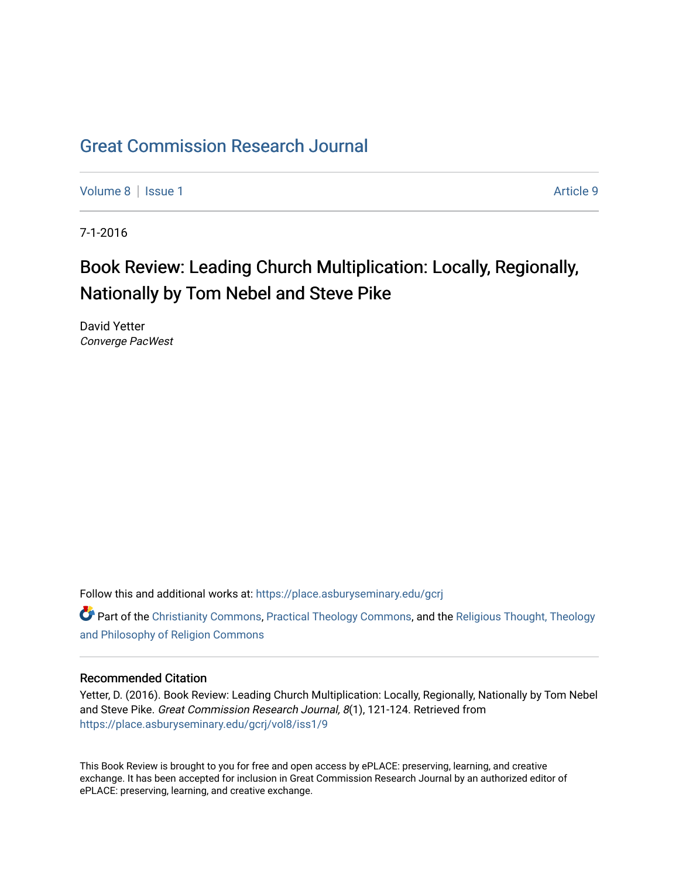## [Great Commission Research Journal](https://place.asburyseminary.edu/gcrj)

[Volume 8](https://place.asburyseminary.edu/gcrj/vol8) | [Issue 1](https://place.asburyseminary.edu/gcrj/vol8/iss1) Article 9

7-1-2016

# Book Review: Leading Church Multiplication: Locally, Regionally, Nationally by Tom Nebel and Steve Pike

David Yetter Converge PacWest

Follow this and additional works at: [https://place.asburyseminary.edu/gcrj](https://place.asburyseminary.edu/gcrj?utm_source=place.asburyseminary.edu%2Fgcrj%2Fvol8%2Fiss1%2F9&utm_medium=PDF&utm_campaign=PDFCoverPages) 

**C** Part of the [Christianity Commons,](http://network.bepress.com/hgg/discipline/1181?utm_source=place.asburyseminary.edu%2Fgcrj%2Fvol8%2Fiss1%2F9&utm_medium=PDF&utm_campaign=PDFCoverPages) [Practical Theology Commons](http://network.bepress.com/hgg/discipline/1186?utm_source=place.asburyseminary.edu%2Fgcrj%2Fvol8%2Fiss1%2F9&utm_medium=PDF&utm_campaign=PDFCoverPages), and the Religious Thought, Theology [and Philosophy of Religion Commons](http://network.bepress.com/hgg/discipline/544?utm_source=place.asburyseminary.edu%2Fgcrj%2Fvol8%2Fiss1%2F9&utm_medium=PDF&utm_campaign=PDFCoverPages)

#### Recommended Citation

Yetter, D. (2016). Book Review: Leading Church Multiplication: Locally, Regionally, Nationally by Tom Nebel and Steve Pike. Great Commission Research Journal, 8(1), 121-124. Retrieved from [https://place.asburyseminary.edu/gcrj/vol8/iss1/9](https://place.asburyseminary.edu/gcrj/vol8/iss1/9?utm_source=place.asburyseminary.edu%2Fgcrj%2Fvol8%2Fiss1%2F9&utm_medium=PDF&utm_campaign=PDFCoverPages) 

This Book Review is brought to you for free and open access by ePLACE: preserving, learning, and creative exchange. It has been accepted for inclusion in Great Commission Research Journal by an authorized editor of ePLACE: preserving, learning, and creative exchange.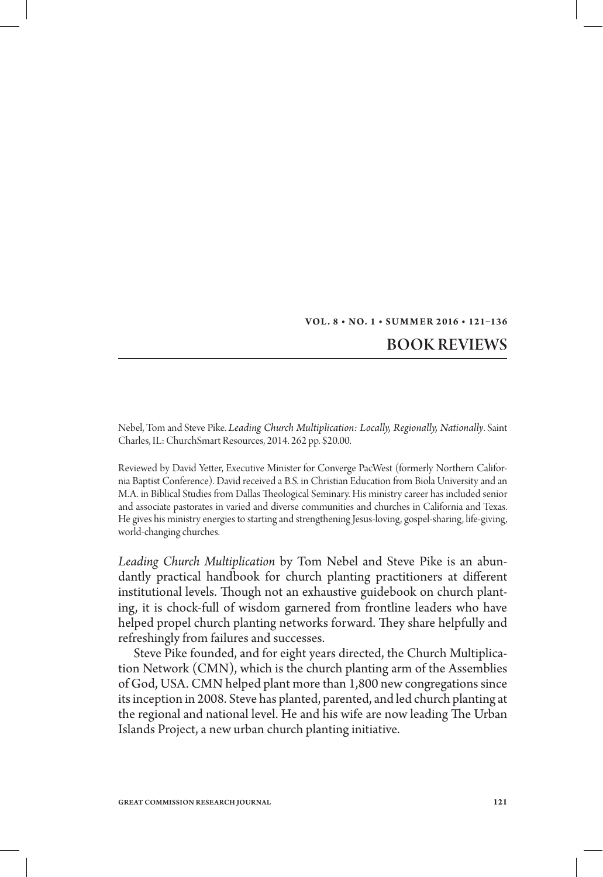#### **Vol . 8 • No. 1 • S u m m er 2 016 • 121–136**

### Book Reviews

Nebel, Tom and Steve Pike. *Leading Church Multiplication: Locally, Regionally, Nationally*. Saint Charles, IL: ChurchSmart Resources, 2014. 262 pp. \$20.00.

Reviewed by David Yetter, Executive Minister for Converge PacWest (formerly Northern California Baptist Conference). David received a B.S. in Christian Education from Biola University and an M.A. in Biblical Studies from Dallas Theological Seminary. His ministry career has included senior and associate pastorates in varied and diverse communities and churches in California and Texas. He gives his ministry energies to starting and strengthening Jesus-loving, gospel-sharing, life-giving, world-changing churches.

*Leading Church Multiplication* by Tom Nebel and Steve Pike is an abundantly practical handbook for church planting practitioners at different institutional levels. Though not an exhaustive guidebook on church planting, it is chock-full of wisdom garnered from frontline leaders who have helped propel church planting networks forward. They share helpfully and refreshingly from failures and successes.

Steve Pike founded, and for eight years directed, the Church Multiplication Network (CMN), which is the church planting arm of the Assemblies of God, USA. CMN helped plant more than 1,800 new congregations since its inception in 2008. Steve has planted, parented, and led church planting at the regional and national level. He and his wife are now leading The Urban Islands Project, a new urban church planting initiative.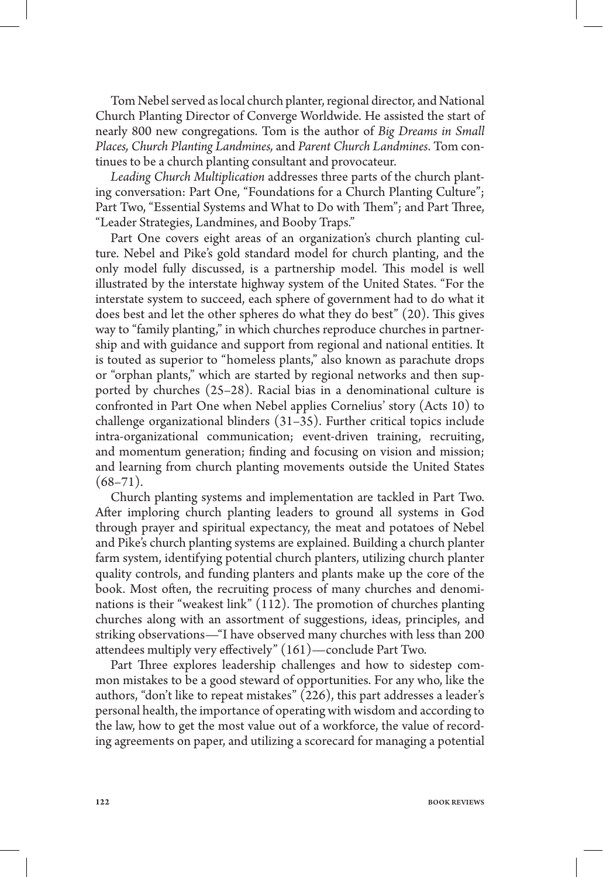Tom Nebel served as local church planter, regional director, and National Church Planting Director of Converge Worldwide. He assisted the start of nearly 800 new congregations. Tom is the author of *Big Dreams in Small Places, Church Planting Landmines,* and *Parent Church Landmines*. Tom continues to be a church planting consultant and provocateur.

*Leading Church Multiplication* addresses three parts of the church planting conversation: Part One, "Foundations for a Church Planting Culture"; Part Two, "Essential Systems and What to Do with Them"; and Part Three, "Leader Strategies, Landmines, and Booby Traps."

Part One covers eight areas of an organization's church planting culture. Nebel and Pike's gold standard model for church planting, and the only model fully discussed, is a partnership model. This model is well illustrated by the interstate highway system of the United States. "For the interstate system to succeed, each sphere of government had to do what it does best and let the other spheres do what they do best" (20). This gives way to "family planting," in which churches reproduce churches in partnership and with guidance and support from regional and national entities. It is touted as superior to "homeless plants," also known as parachute drops or "orphan plants," which are started by regional networks and then supported by churches (25–28). Racial bias in a denominational culture is confronted in Part One when Nebel applies Cornelius' story (Acts 10) to challenge organizational blinders (31–35). Further critical topics include intra-organizational communication; event-driven training, recruiting, and momentum generation; finding and focusing on vision and mission; and learning from church planting movements outside the United States  $(68 - 71)$ .

Church planting systems and implementation are tackled in Part Two. After imploring church planting leaders to ground all systems in God through prayer and spiritual expectancy, the meat and potatoes of Nebel and Pike's church planting systems are explained. Building a church planter farm system, identifying potential church planters, utilizing church planter quality controls, and funding planters and plants make up the core of the book. Most often, the recruiting process of many churches and denominations is their "weakest link" (112). The promotion of churches planting churches along with an assortment of suggestions, ideas, principles, and striking observations—"I have observed many churches with less than 200 attendees multiply very effectively" (161)—conclude Part Two.

Part Three explores leadership challenges and how to sidestep common mistakes to be a good steward of opportunities. For any who, like the authors, "don't like to repeat mistakes" (226), this part addresses a leader's personal health, the importance of operating with wisdom and according to the law, how to get the most value out of a workforce, the value of recording agreements on paper, and utilizing a scorecard for managing a potential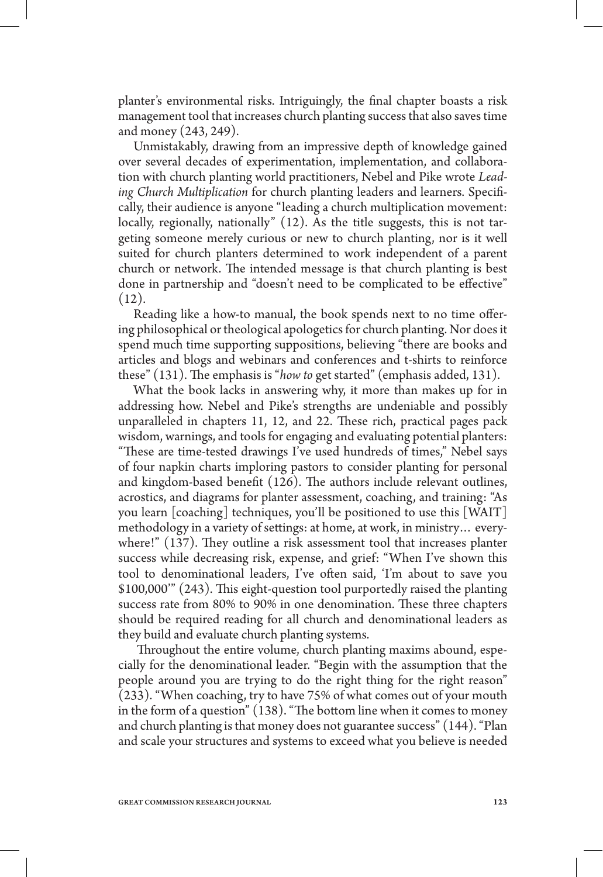planter's environmental risks. Intriguingly, the final chapter boasts a risk management tool that increases church planting success that also saves time and money (243, 249).

Unmistakably, drawing from an impressive depth of knowledge gained over several decades of experimentation, implementation, and collaboration with church planting world practitioners, Nebel and Pike wrote *Leading Church Multiplication* for church planting leaders and learners. Specifically, their audience is anyone "leading a church multiplication movement: locally, regionally, nationally" (12). As the title suggests, this is not targeting someone merely curious or new to church planting, nor is it well suited for church planters determined to work independent of a parent church or network. The intended message is that church planting is best done in partnership and "doesn't need to be complicated to be effective"  $(12).$ 

Reading like a how-to manual, the book spends next to no time offering philosophical or theological apologetics for church planting. Nor does it spend much time supporting suppositions, believing "there are books and articles and blogs and webinars and conferences and t-shirts to reinforce these" (131). The emphasis is "*how to* get started" (emphasis added, 131).

What the book lacks in answering why, it more than makes up for in addressing how. Nebel and Pike's strengths are undeniable and possibly unparalleled in chapters 11, 12, and 22. These rich, practical pages pack wisdom, warnings, and tools for engaging and evaluating potential planters: "These are time-tested drawings I've used hundreds of times," Nebel says of four napkin charts imploring pastors to consider planting for personal and kingdom-based benefit (126). The authors include relevant outlines, acrostics, and diagrams for planter assessment, coaching, and training: "As you learn [coaching] techniques, you'll be positioned to use this [WAIT] methodology in a variety of settings: at home, at work, in ministry… everywhere!" (137). They outline a risk assessment tool that increases planter success while decreasing risk, expense, and grief: "When I've shown this tool to denominational leaders, I've often said, 'I'm about to save you \$100,000'" (243). This eight-question tool purportedly raised the planting success rate from 80% to 90% in one denomination. These three chapters should be required reading for all church and denominational leaders as they build and evaluate church planting systems.

 Throughout the entire volume, church planting maxims abound, especially for the denominational leader. "Begin with the assumption that the people around you are trying to do the right thing for the right reason"  $(233)$ . "When coaching, try to have 75% of what comes out of your mouth in the form of a question" (138). "The bottom line when it comes to money and church planting is that money does not guarantee success" (144). "Plan and scale your structures and systems to exceed what you believe is needed